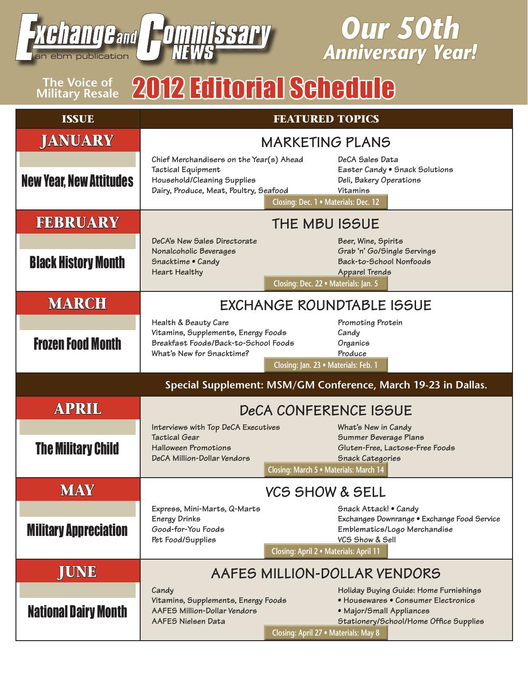

### The Voice of **2012 Editorial Schedule Military Resale**

*Our 50th* 

*Anniversary Year!*

| <b>ISSUE</b>                   | <b>FEATURED TOPICS</b>                                                                                                                  |                                                                                                                                                                                             |  |  |
|--------------------------------|-----------------------------------------------------------------------------------------------------------------------------------------|---------------------------------------------------------------------------------------------------------------------------------------------------------------------------------------------|--|--|
| <b>JANUARY</b>                 | <b>MARKETING PLANS</b>                                                                                                                  |                                                                                                                                                                                             |  |  |
| <b>New Year, New Attitudes</b> | Chief Merchandisers on the Year(s) Ahead<br>Tactical Equipment<br>Household/Cleaning Supplies<br>Dairy, Produce, Meat, Poultry, Seafood | DeCA Sales Data<br>Easter Candy • Snack Solutions<br>Deli, Bakery Operations<br>Vitamins<br>Closing: Dec. 1 · Materials: Dec. 12                                                            |  |  |
| <b>FEBRUARY</b>                | THE MBU ISSUE                                                                                                                           |                                                                                                                                                                                             |  |  |
| <b>Black History Month</b>     | DeCA's New Sales Directorate<br>Nonalcoholic Beverages<br>Snacktime • Candy<br><b>Heart Healthy</b>                                     | Beer, Wine, Spirits<br>Grab 'n' Go/Single Servings<br>Back-to-School Nonfoods<br>Apparel Trends<br>Closing: Dec. 22 · Materials: Jan. 5                                                     |  |  |
| <b>MARCH</b>                   | EXCHANGE ROUNDTABLE ISSUE                                                                                                               |                                                                                                                                                                                             |  |  |
| <b>Frozen Food Month</b>       | Health & Beauty Care<br>Vitamins, Supplements, Energy Foods<br>Breakfast Foods/Back-to-School Foods<br>What's New for Snacktime?        | Promoting Protein<br>Candy<br>Organics<br>Produce<br>Closing: Jan. 23 · Materials: Feb. 1                                                                                                   |  |  |
|                                |                                                                                                                                         | Special Supplement: MSM/GM Conference, March 19-23 in Dallas.                                                                                                                               |  |  |
| <b>APRIL</b>                   | <b>DeCA CONFERENCE ISSUE</b>                                                                                                            |                                                                                                                                                                                             |  |  |
| <b>The Military Child</b>      | Interviews with Top DeCA Executives<br><b>Tactical Gear</b><br>Halloween Promotions<br>DeCA Million-Dollar Vendors                      | What's New in Candy<br>Summer Beverage Plans<br>Gluten-Free, Lactose-Free Foods<br><b>Snack Categories</b><br>Closing: March 5 · Materials: March 14                                        |  |  |
| MAY                            | VCS SHOW & SELL                                                                                                                         |                                                                                                                                                                                             |  |  |
| <b>Military Appreciation</b>   | Express, Mini-Marts, Q-Marts<br>Energy Drinks<br>Good-for-You Foods<br>Pet Food/Supplies                                                | Snack Attack! • Candy<br>Exchanges Downrange • Exchange Food Service<br>Emblematics/Logo Merchandise<br>VCS Show & Sell<br>Closing: April 2 · Materials: April 11                           |  |  |
| JUNE                           | AAFES MILLION-DOLLAR VENDORS                                                                                                            |                                                                                                                                                                                             |  |  |
| <b>National Dairy Month</b>    | Candy<br>Vitamins, Supplements, Energy Foods<br>AAFES Million-Dollar Vendors<br>AAFES Nielsen Data                                      | Holiday Buying Guide: Home Furnishings<br>• Housewares • Consumer Electronics<br>• Major/Small Appliances<br>Stationery/School/Home Office Supplies<br>Closing: April 27 . Materials: May 8 |  |  |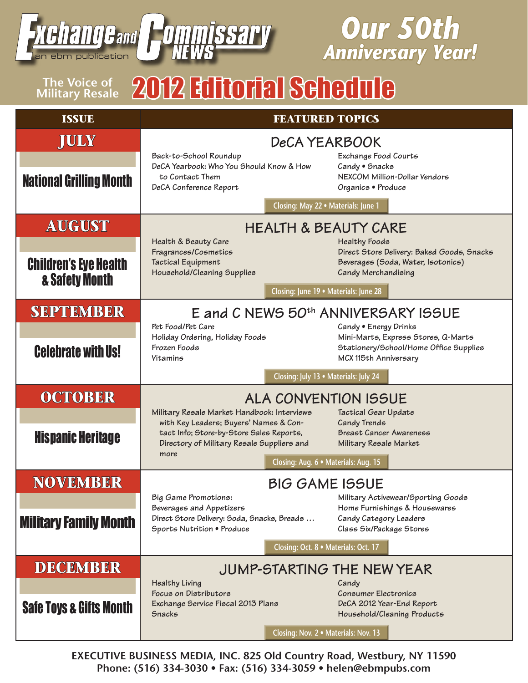

# The Voice of **2012 Editorial Schedule**

*Our 50th* 

*Anniversary Year!*

| <b>ISSUE</b>                                              | <b>FEATURED TOPICS</b>                                                                                                                                                                  |                                                                                                                                                                        |  |  |  |
|-----------------------------------------------------------|-----------------------------------------------------------------------------------------------------------------------------------------------------------------------------------------|------------------------------------------------------------------------------------------------------------------------------------------------------------------------|--|--|--|
| <b>JULY</b><br><b>National Grilling Month</b>             | Back-to-School Roundup<br>DeCA Yearbook: Who You Should Know & How<br>to Contact Them<br>DeCA Conference Report                                                                         | <b>DeCA YEARBOOK</b><br>Exchange Food Courts<br>Candy • Snacks<br>NEXCOM Million-Dollar Vendors<br>Organics • Produce                                                  |  |  |  |
|                                                           |                                                                                                                                                                                         | Closing: May 22 . Materials: June 1                                                                                                                                    |  |  |  |
| <b>AUGUST</b>                                             | <b>HEALTH &amp; BEAUTY CARE</b><br>Health & Beauty Care<br>Healthy Foods                                                                                                                |                                                                                                                                                                        |  |  |  |
| <b>Children's Eye Health</b><br><b>&amp; Safety Month</b> | Fragrances/Cosmetics<br>Tactical Equipment<br>Household/Cleaning Supplies                                                                                                               | Direct Store Delivery: Baked Goods, Snacks<br>Beverages (Soda, Water, Isotonics)<br>Candy Merchandising                                                                |  |  |  |
|                                                           | Closing: June 19 · Materials: June 28                                                                                                                                                   |                                                                                                                                                                        |  |  |  |
| <b>SEPTEMBER</b><br><b>Celebrate with Us!</b>             | Pet Food/Pet Care<br>Holiday Ordering, Holiday Foods<br>Frozen Foods<br><b>Vitamins</b>                                                                                                 | E and C NEWS 50th ANNIVERSARY ISSUE<br>Candy • Energy Drinks<br>Mini-Marts, Express Stores, Q-Marts<br>Stationery/School/Home Office Supplies<br>MCX 115th Anniversary |  |  |  |
|                                                           |                                                                                                                                                                                         | Closing: July 13 · Materials: July 24                                                                                                                                  |  |  |  |
| <b>OCTOBER</b>                                            | <b>ALA CONVENTION ISSUE</b>                                                                                                                                                             |                                                                                                                                                                        |  |  |  |
| <b>Hispanic Heritage</b>                                  | Military Resale Market Handbook: Interviews<br>with Key Leaders; Buyers' Names & Con-<br>tact Info; Store-by-Store Sales Reports,<br>Directory of Military Resale Suppliers and<br>more | Tactical Gear Update<br><b>Candy Trends</b><br><b>Breast Cancer Awareness</b><br>Military Resale Market<br>Closing: Aug. 6 · Materials: Aug. 15                        |  |  |  |
| <b>NOVEMBER</b><br><b>Military Family Month</b>           | Big Game Promotions:<br>Beverages and Appetizers<br>Direct Store Delivery: Soda, Snacks, Breads<br>Sports Nutrition • Produce                                                           | <b>BIG GAME ISSUE</b><br>Military Activewear/Sporting Goods<br>Home Furnishings & Housewares<br>Candy Category Leaders<br>Class Six/Package Stores                     |  |  |  |
|                                                           |                                                                                                                                                                                         | Closing: Oct. 8 · Materials: Oct. 17                                                                                                                                   |  |  |  |
| <b>DECEMBER</b>                                           | JUMP-STARTING THE NEW YEAR                                                                                                                                                              |                                                                                                                                                                        |  |  |  |
| <b>Safe Toys &amp; Gifts Month</b>                        | <b>Healthy Living</b><br>Focus on Distributors<br>Exchange Service Fiscal 2013 Plans<br><b>Snacks</b>                                                                                   | Candy<br>Consumer Electronics<br>DeCA 2012 Year-End Report<br>Household/Cleaning Products<br>Closing: Nov. 2 . Materials: Nov. 13                                      |  |  |  |
|                                                           |                                                                                                                                                                                         |                                                                                                                                                                        |  |  |  |

**EXECUTIVE BUSINESS MEDIA, INC. 825 Old Country Road, Westbury, NY 11590 Phone: (516) 334-3030 • Fax: (516) 334-3059 • helen@ebmpubs.com**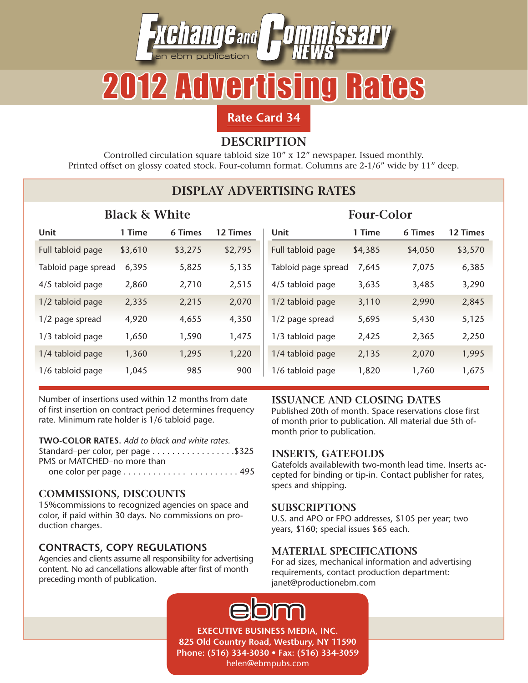

# 2012 Advertising Rates

**Rate Card 34**

### **DESCRIPTION**

Controlled circulation square tabloid size 10" x 12" newspaper. Issued monthly. Printed offset on glossy coated stock. Four-column format. Columns are 2-1/6" wide by 11" deep.

| <b>DISPLAY ADVERTISING RATES</b> |         |         |                   |                     |         |                |          |  |
|----------------------------------|---------|---------|-------------------|---------------------|---------|----------------|----------|--|
| <b>Black &amp; White</b>         |         |         | <b>Four-Color</b> |                     |         |                |          |  |
| Unit                             | 1 Time  | 6 Times | <b>12 Times</b>   | Unit                | 1 Time  | <b>6 Times</b> | 12 Times |  |
| Full tabloid page                | \$3,610 | \$3,275 | \$2,795           | Full tabloid page   | \$4,385 | \$4,050        | \$3,570  |  |
| Tabloid page spread              | 6,395   | 5,825   | 5,135             | Tabloid page spread | 7,645   | 7,075          | 6,385    |  |
| 4/5 tabloid page                 | 2,860   | 2,710   | 2,515             | 4/5 tabloid page    | 3,635   | 3,485          | 3,290    |  |
| 1/2 tabloid page                 | 2,335   | 2,215   | 2,070             | 1/2 tabloid page    | 3,110   | 2,990          | 2,845    |  |
| 1/2 page spread                  | 4,920   | 4,655   | 4,350             | 1/2 page spread     | 5,695   | 5,430          | 5,125    |  |
| 1/3 tabloid page                 | 1,650   | 1,590   | 1,475             | 1/3 tabloid page    | 2,425   | 2,365          | 2,250    |  |
| 1/4 tabloid page                 | 1,360   | 1,295   | 1,220             | 1/4 tabloid page    | 2,135   | 2,070          | 1,995    |  |
| 1/6 tabloid page                 | 1,045   | 985     | 900               | 1/6 tabloid page    | 1,820   | 1,760          | 1,675    |  |

Number of insertions used within 12 months from date of first insertion on contract period determines frequency rate. Minimum rate holder is 1/6 tabloid page.

#### **TWO-COLOR RATES.** *Add to black and white rates.*

Standard–per color, per page . . . . . . . . . . . . . . . . \$325 PMS or MATCHED–no more than one color per page . . . . . . . . . . . . . . . . . . . . . . . 495

#### **COMMISSIONS, DISCOUNTS**

15%commissions to recognized agencies on space and color, if paid within 30 days. No commissions on production charges.

#### **CONTRACTS, COPY REGULATIONS**

Agencies and clients assume all responsibility for advertising content. No ad cancellations allowable after first of month preceding month of publication.

#### **ISSUANCE AND CLOSING DATES**

Published 20th of month. Space reservations close first of month prior to publication. All material due 5th ofmonth prior to publication.

#### **INSERTS, GATEFOLDS**

Gatefolds availablewith two-month lead time. Inserts accepted for binding or tip-in. Contact publisher for rates, specs and shipping.

#### **SUBSCRIPTIONS**

U.S. and APO or FPO addresses, \$105 per year; two years, \$160; special issues \$65 each.

#### **MATERIAL SPECIFICATIONS**

For ad sizes, mechanical information and advertising requirements, contact production department: janet@productionebm.com